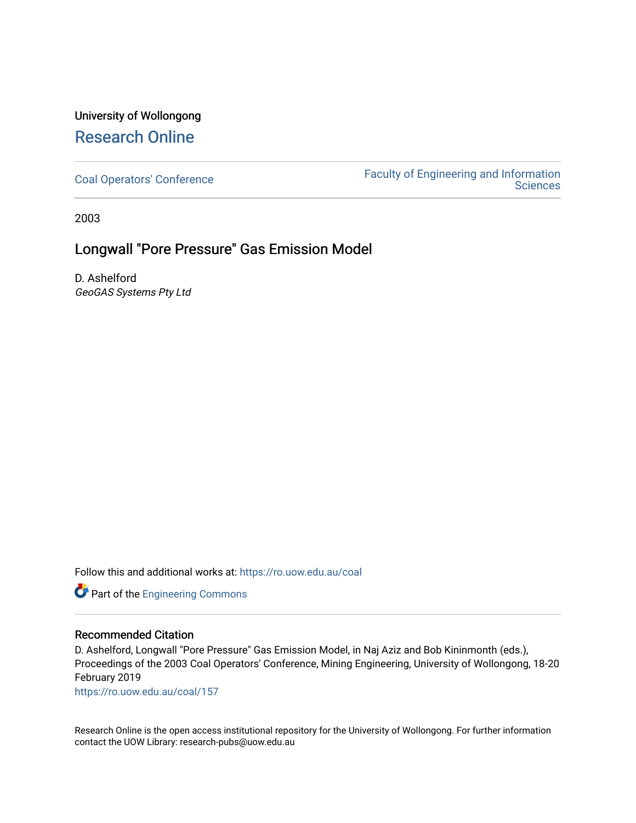# University of Wollongong [Research Online](https://ro.uow.edu.au/)

[Coal Operators' Conference](https://ro.uow.edu.au/coal) [Faculty of Engineering and Information](https://ro.uow.edu.au/eis)  **Sciences** 

2003

# Longwall "Pore Pressure" Gas Emission Model

D. Ashelford GeoGAS Systems Pty Ltd

Follow this and additional works at: [https://ro.uow.edu.au/coal](https://ro.uow.edu.au/coal?utm_source=ro.uow.edu.au%2Fcoal%2F157&utm_medium=PDF&utm_campaign=PDFCoverPages) 



## Recommended Citation

D. Ashelford, Longwall "Pore Pressure" Gas Emission Model, in Naj Aziz and Bob Kininmonth (eds.), Proceedings of the 2003 Coal Operators' Conference, Mining Engineering, University of Wollongong, 18-20 February 2019

[https://ro.uow.edu.au/coal/157](https://ro.uow.edu.au/coal/157?utm_source=ro.uow.edu.au%2Fcoal%2F157&utm_medium=PDF&utm_campaign=PDFCoverPages) 

Research Online is the open access institutional repository for the University of Wollongong. For further information contact the UOW Library: research-pubs@uow.edu.au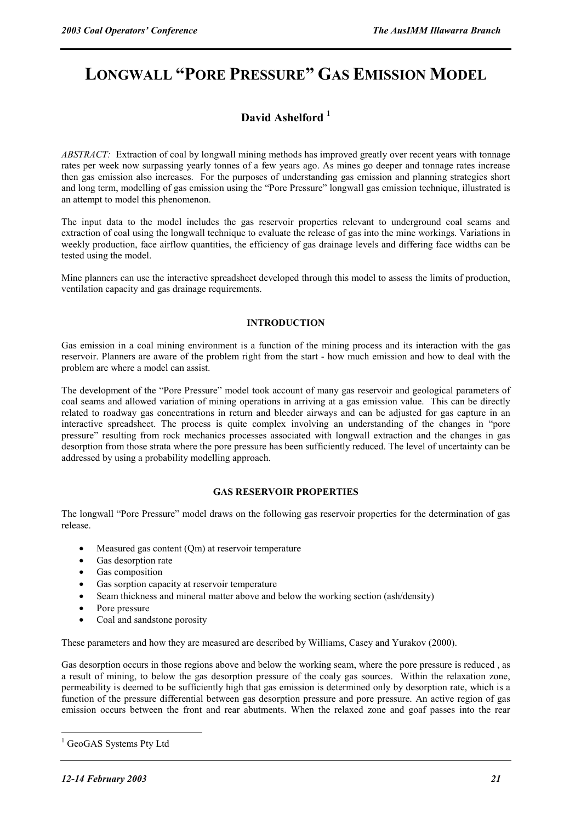# **LONGWALL "PORE PRESSURE" GAS EMISSION MODEL**

## **David Ashelford 1**

*ABSTRACT:* Extraction of coal by longwall mining methods has improved greatly over recent years with tonnage rates per week now surpassing yearly tonnes of a few years ago. As mines go deeper and tonnage rates increase then gas emission also increases. For the purposes of understanding gas emission and planning strategies short and long term, modelling of gas emission using the "Pore Pressure" longwall gas emission technique, illustrated is an attempt to model this phenomenon.

The input data to the model includes the gas reservoir properties relevant to underground coal seams and extraction of coal using the longwall technique to evaluate the release of gas into the mine workings. Variations in weekly production, face airflow quantities, the efficiency of gas drainage levels and differing face widths can be tested using the model.

Mine planners can use the interactive spreadsheet developed through this model to assess the limits of production, ventilation capacity and gas drainage requirements.

#### **INTRODUCTION**

Gas emission in a coal mining environment is a function of the mining process and its interaction with the gas reservoir. Planners are aware of the problem right from the start - how much emission and how to deal with the problem are where a model can assist.

The development of the "Pore Pressure" model took account of many gas reservoir and geological parameters of coal seams and allowed variation of mining operations in arriving at a gas emission value. This can be directly related to roadway gas concentrations in return and bleeder airways and can be adjusted for gas capture in an interactive spreadsheet. The process is quite complex involving an understanding of the changes in "pore pressure" resulting from rock mechanics processes associated with longwall extraction and the changes in gas desorption from those strata where the pore pressure has been sufficiently reduced. The level of uncertainty can be addressed by using a probability modelling approach.

#### **GAS RESERVOIR PROPERTIES**

The longwall "Pore Pressure" model draws on the following gas reservoir properties for the determination of gas release.

- Measured gas content (Qm) at reservoir temperature
- Gas desorption rate
- Gas composition
- Gas sorption capacity at reservoir temperature
- Seam thickness and mineral matter above and below the working section (ash/density)
- Pore pressure
- Coal and sandstone porosity

These parameters and how they are measured are described by Williams, Casey and Yurakov (2000).

Gas desorption occurs in those regions above and below the working seam, where the pore pressure is reduced , as a result of mining, to below the gas desorption pressure of the coaly gas sources. Within the relaxation zone, permeability is deemed to be sufficiently high that gas emission is determined only by desorption rate, which is a function of the pressure differential between gas desorption pressure and pore pressure. An active region of gas emission occurs between the front and rear abutments. When the relaxed zone and goaf passes into the rear

 $\overline{a}$ 

<sup>&</sup>lt;sup>1</sup> GeoGAS Systems Pty Ltd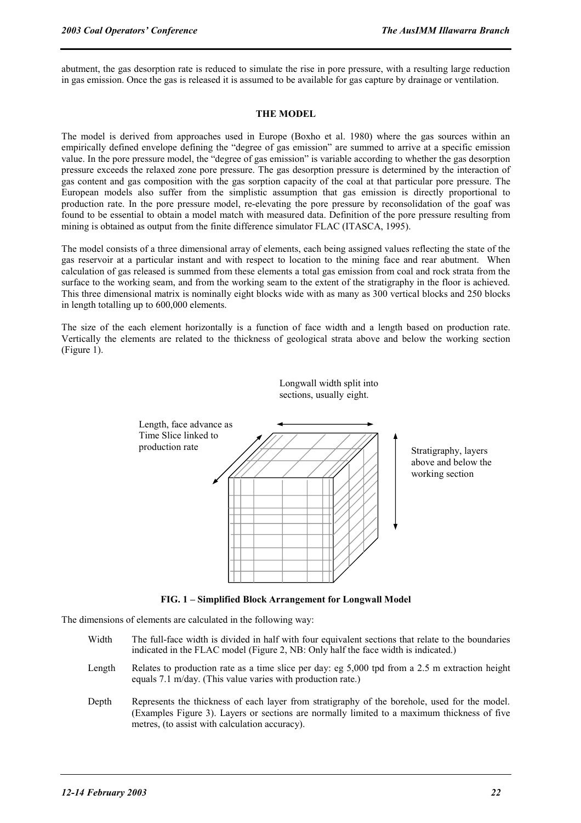abutment, the gas desorption rate is reduced to simulate the rise in pore pressure, with a resulting large reduction in gas emission. Once the gas is released it is assumed to be available for gas capture by drainage or ventilation.

#### **THE MODEL**

The model is derived from approaches used in Europe (Boxho et al. 1980) where the gas sources within an empirically defined envelope defining the "degree of gas emission" are summed to arrive at a specific emission value. In the pore pressure model, the "degree of gas emission" is variable according to whether the gas desorption pressure exceeds the relaxed zone pore pressure. The gas desorption pressure is determined by the interaction of gas content and gas composition with the gas sorption capacity of the coal at that particular pore pressure. The European models also suffer from the simplistic assumption that gas emission is directly proportional to production rate. In the pore pressure model, re-elevating the pore pressure by reconsolidation of the goaf was found to be essential to obtain a model match with measured data. Definition of the pore pressure resulting from mining is obtained as output from the finite difference simulator FLAC (ITASCA, 1995).

The model consists of a three dimensional array of elements, each being assigned values reflecting the state of the gas reservoir at a particular instant and with respect to location to the mining face and rear abutment. When calculation of gas released is summed from these elements a total gas emission from coal and rock strata from the surface to the working seam, and from the working seam to the extent of the stratigraphy in the floor is achieved. This three dimensional matrix is nominally eight blocks wide with as many as 300 vertical blocks and 250 blocks in length totalling up to 600,000 elements.

The size of the each element horizontally is a function of face width and a length based on production rate. Vertically the elements are related to the thickness of geological strata above and below the working section (Figure 1).



Longwall width split into

**FIG. 1 – Simplified Block Arrangement for Longwall Model** 

The dimensions of elements are calculated in the following way:

- Width The full-face width is divided in half with four equivalent sections that relate to the boundaries indicated in the FLAC model (Figure 2, NB: Only half the face width is indicated.)
- Length Relates to production rate as a time slice per day: eg 5,000 tpd from a 2.5 m extraction height equals 7.1 m/day. (This value varies with production rate.)
- Depth Represents the thickness of each layer from stratigraphy of the borehole, used for the model. (Examples Figure 3). Layers or sections are normally limited to a maximum thickness of five metres, (to assist with calculation accuracy).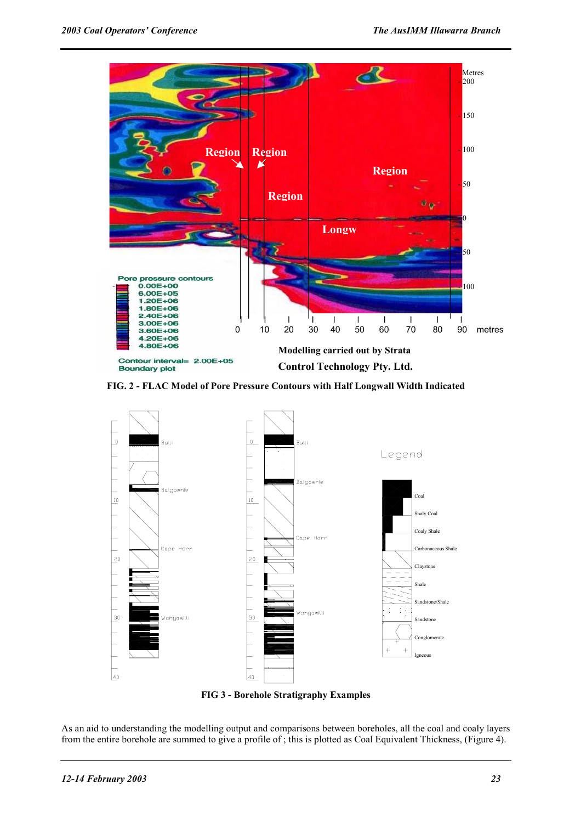

**FIG. 2 - FLAC Model of Pore Pressure Contours with Half Longwall Width Indicated** 



**FIG 3 - Borehole Stratigraphy Examples** 

As an aid to understanding the modelling output and comparisons between boreholes, all the coal and coaly layers from the entire borehole are summed to give a profile of ; this is plotted as Coal Equivalent Thickness, (Figure 4).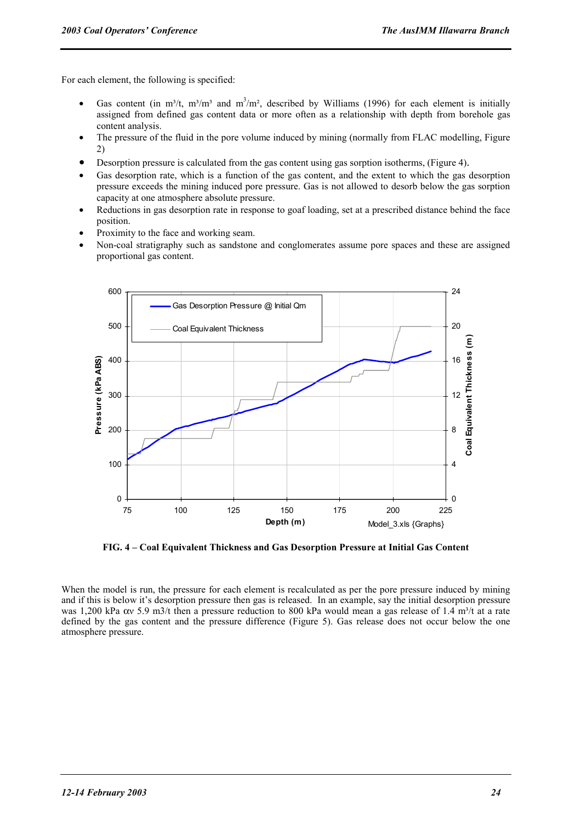For each element, the following is specified:

- Gas content (in m<sup>3</sup>/t, m<sup>3</sup>/m<sup>3</sup> and m<sup>3</sup>/m<sup>2</sup>, described by Williams (1996) for each element is initially assigned from defined gas content data or more often as a relationship with depth from borehole gas content analysis.
- The pressure of the fluid in the pore volume induced by mining (normally from FLAC modelling, Figure 2)
- Desorption pressure is calculated from the gas content using gas sorption isotherms, (Figure 4).
- Gas desorption rate, which is a function of the gas content, and the extent to which the gas desorption pressure exceeds the mining induced pore pressure. Gas is not allowed to desorb below the gas sorption capacity at one atmosphere absolute pressure.
- Reductions in gas desorption rate in response to goaf loading, set at a prescribed distance behind the face position.
- Proximity to the face and working seam.
- Non-coal stratigraphy such as sandstone and conglomerates assume pore spaces and these are assigned proportional gas content.



**FIG. 4 – Coal Equivalent Thickness and Gas Desorption Pressure at Initial Gas Content** 

When the model is run, the pressure for each element is recalculated as per the pore pressure induced by mining and if this is below it's desorption pressure then gas is released. In an example, say the initial desorption pressure was 1,200 kPa  $\alpha$  5.9 m3/t then a pressure reduction to 800 kPa would mean a gas release of 1.4 m<sup>3</sup>/t at a rate defined by the gas content and the pressure difference (Figure 5). Gas release does not occur below the one atmosphere pressure.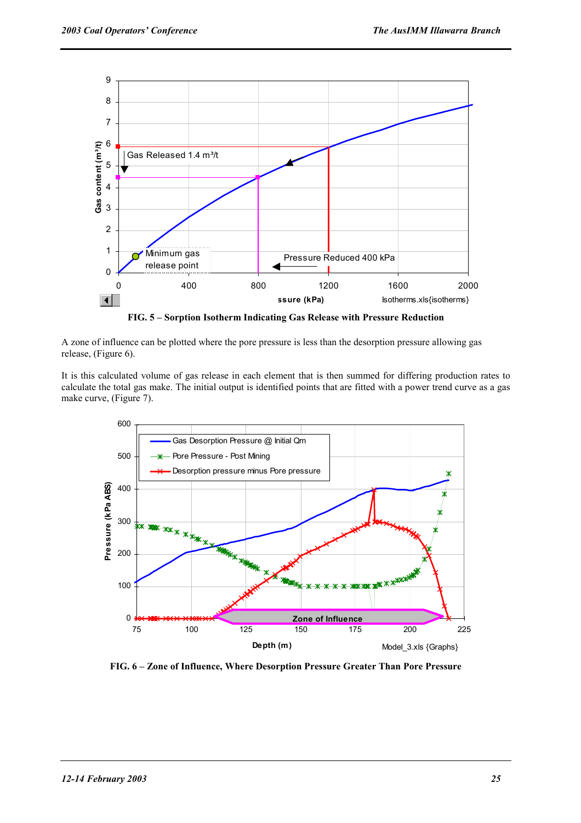

**FIG. 5 – Sorption Isotherm Indicating Gas Release with Pressure Reduction** 

A zone of influence can be plotted where the pore pressure is less than the desorption pressure allowing gas release, (Figure 6).

It is this calculated volume of gas release in each element that is then summed for differing production rates to calculate the total gas make. The initial output is identified points that are fitted with a power trend curve as a gas make curve, (Figure 7).



**FIG. 6 – Zone of Influence, Where Desorption Pressure Greater Than Pore Pressure**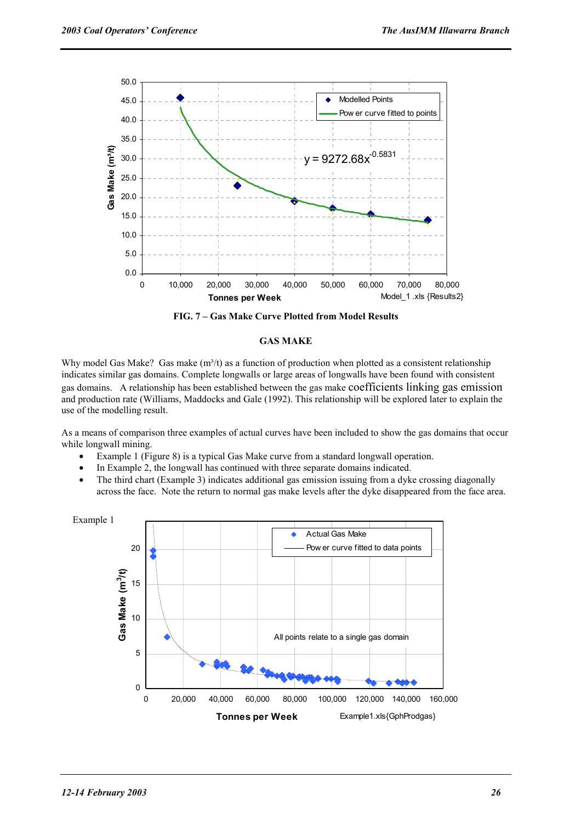

**FIG. 7 – Gas Make Curve Plotted from Model Results** 

### **GAS MAKE**

Why model Gas Make? Gas make  $(m^3/t)$  as a function of production when plotted as a consistent relationship indicates similar gas domains. Complete longwalls or large areas of longwalls have been found with consistent gas domains. A relationship has been established between the gas make coefficients linking gas emission and production rate (Williams, Maddocks and Gale (1992). This relationship will be explored later to explain the use of the modelling result.

As a means of comparison three examples of actual curves have been included to show the gas domains that occur while longwall mining.

- Example 1 (Figure 8) is a typical Gas Make curve from a standard longwall operation.
- In Example 2, the longwall has continued with three separate domains indicated.
- The third chart (Example 3) indicates additional gas emission issuing from a dyke crossing diagonally across the face. Note the return to normal gas make levels after the dyke disappeared from the face area.

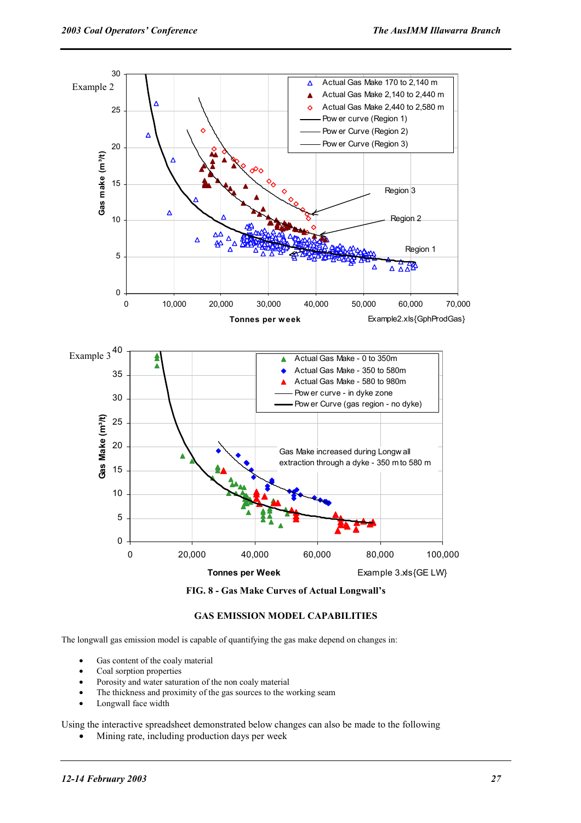

**FIG. 8 - Gas Make Curves of Actual Longwall's** 

## **GAS EMISSION MODEL CAPABILITIES**

The longwall gas emission model is capable of quantifying the gas make depend on changes in:

- Gas content of the coaly material
- Coal sorption properties
- Porosity and water saturation of the non coaly material
- The thickness and proximity of the gas sources to the working seam
- Longwall face width

Using the interactive spreadsheet demonstrated below changes can also be made to the following

• Mining rate, including production days per week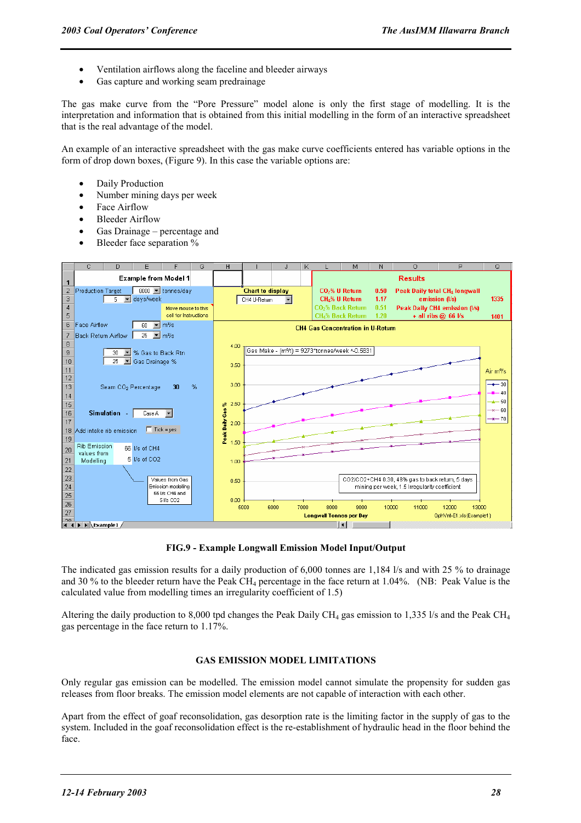- Ventilation airflows along the faceline and bleeder airways
- Gas capture and working seam predrainage

The gas make curve from the "Pore Pressure" model alone is only the first stage of modelling. It is the interpretation and information that is obtained from this initial modelling in the form of an interactive spreadsheet that is the real advantage of the model.

An example of an interactive spreadsheet with the gas make curve coefficients entered has variable options in the form of drop down boxes, (Figure 9). In this case the variable options are:

- Daily Production
- Number mining days per week
- Face Airflow
- **Bleeder Airflow**
- Gas Drainage percentage and
- Bleeder face separation %



**FIG.9 - Example Longwall Emission Model Input/Output** 

The indicated gas emission results for a daily production of 6,000 tonnes are 1,184 l/s and with 25 % to drainage and 30 % to the bleeder return have the Peak CH<sub>4</sub> percentage in the face return at  $1.04\%$ . (NB: Peak Value is the calculated value from modelling times an irregularity coefficient of 1.5)

Altering the daily production to 8,000 tpd changes the Peak Daily CH<sub>4</sub> gas emission to 1,335 l/s and the Peak CH<sub>4</sub> gas percentage in the face return to 1.17%.

#### **GAS EMISSION MODEL LIMITATIONS**

Only regular gas emission can be modelled. The emission model cannot simulate the propensity for sudden gas releases from floor breaks. The emission model elements are not capable of interaction with each other.

Apart from the effect of goaf reconsolidation, gas desorption rate is the limiting factor in the supply of gas to the system. Included in the goaf reconsolidation effect is the re-establishment of hydraulic head in the floor behind the face.